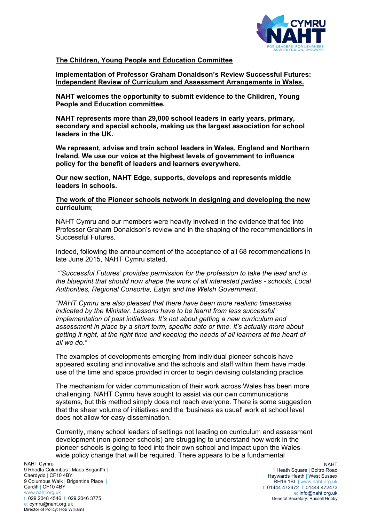

# **The Children, Young People and Education Committee**

**Implementation of Professor Graham Donaldson's Review Successful Futures: Independent Review of Curriculum and Assessment Arrangements in Wales.**

**NAHT welcomes the opportunity to submit evidence to the Children, Young People and Education committee.** 

**NAHT represents more than 29,000 school leaders in early years, primary, secondary and special schools, making us the largest association for school leaders in the UK.**

**We represent, advise and train school leaders in Wales, England and Northern Ireland. We use our voice at the highest levels of government to influence policy for the benefit of leaders and learners everywhere.**

**Our new section, NAHT Edge, supports, develops and represents middle leaders in schools.**

### **The work of the Pioneer schools network in designing and developing the new curriculum**;

NAHT Cymru and our members were heavily involved in the evidence that fed into Professor Graham Donaldson's review and in the shaping of the recommendations in Successful Futures.

Indeed, following the announcement of the acceptance of all 68 recommendations in late June 2015, NAHT Cymru stated,

*"'Successful Futures' provides permission for the profession to take the lead and is the blueprint that should now shape the work of all interested parties - schools, Local Authorities, Regional Consortia, Estyn and the Welsh Government.*

*"NAHT Cymru are also pleased that there have been more realistic timescales indicated by the Minister. Lessons have to be learnt from less successful implementation of past initiatives. It's not about getting a new curriculum and assessment in place by a short term, specific date or time. It's actually more about getting it right, at the right time and keeping the needs of all learners at the heart of all we do."*

The examples of developments emerging from individual pioneer schools have appeared exciting and innovative and the schools and staff within them have made use of the time and space provided in order to begin devising outstanding practice.

The mechanism for wider communication of their work across Wales has been more challenging. NAHT Cymru have sought to assist via our own communications systems, but this method simply does not reach everyone. There is some suggestion that the sheer volume of initiatives and the 'business as usual' work at school level does not allow for easy dissemination.

Currently, many school leaders of settings not leading on curriculum and assessment development (non-pioneer schools) are struggling to understand how work in the pioneer schools is going to feed into their own school and impact upon the Waleswide policy change that will be required. There appears to be a fundamental

NAHT Cymru 9 Rhodfa Columbus | Maes Brigantîn | Caerdydd | CF10 4BY 9 Columbus Walk | Brigantine Place | Cardiff | CF10 4BY www.naht.org.uk t: 029 2048 4546 f: 029 2046 3775 e: cymru@naht.org.uk Director of Policy: Rob Williams

**NAHT** 1 Heath Square | Boltro Road Haywards Heath | West Sussex RH16 1BL | [www.naht.org.uk](http://www.naht.org.uk/) t: 01444 472472 f: 01444 472473 e: info@naht.org.uk General Secretary: Russell Hobby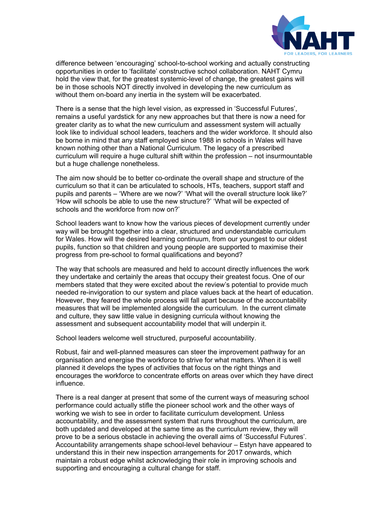

difference between 'encouraging' school-to-school working and actually constructing opportunities in order to 'facilitate' constructive school collaboration. NAHT Cymru hold the view that, for the greatest systemic-level of change, the greatest gains will be in those schools NOT directly involved in developing the new curriculum as without them on-board any inertia in the system will be exacerbated.

There is a sense that the high level vision, as expressed in 'Successful Futures', remains a useful yardstick for any new approaches but that there is now a need for greater clarity as to what the new curriculum and assessment system will actually look like to individual school leaders, teachers and the wider workforce. It should also be borne in mind that any staff employed since 1988 in schools in Wales will have known nothing other than a National Curriculum. The legacy of a prescribed curriculum will require a huge cultural shift within the profession – not insurmountable but a huge challenge nonetheless.

The aim now should be to better co-ordinate the overall shape and structure of the curriculum so that it can be articulated to schools, HTs, teachers, support staff and pupils and parents – 'Where are we now?' 'What will the overall structure look like?' 'How will schools be able to use the new structure?' 'What will be expected of schools and the workforce from now on?'

School leaders want to know how the various pieces of development currently under way will be brought together into a clear, structured and understandable curriculum for Wales. How will the desired learning continuum, from our youngest to our oldest pupils, function so that children and young people are supported to maximise their progress from pre-school to formal qualifications and beyond?

The way that schools are measured and held to account directly influences the work they undertake and certainly the areas that occupy their greatest focus. One of our members stated that they were excited about the review's potential to provide much needed re-invigoration to our system and place values back at the heart of education. However, they feared the whole process will fall apart because of the accountability measures that will be implemented alongside the curriculum. In the current climate and culture, they saw little value in designing curricula without knowing the assessment and subsequent accountability model that will underpin it.

School leaders welcome well structured, purposeful accountability.

Robust, fair and well-planned measures can steer the improvement pathway for an organisation and energise the workforce to strive for what matters. When it is well planned it develops the types of activities that focus on the right things and encourages the workforce to concentrate efforts on areas over which they have direct influence.

There is a real danger at present that some of the current ways of measuring school performance could actually stifle the pioneer school work and the other ways of working we wish to see in order to facilitate curriculum development. Unless accountability, and the assessment system that runs throughout the curriculum, are both updated and developed at the same time as the curriculum review, they will prove to be a serious obstacle in achieving the overall aims of 'Successful Futures'. Accountability arrangements shape school-level behaviour – Estyn have appeared to understand this in their new inspection arrangements for 2017 onwards, which maintain a robust edge whilst acknowledging their role in improving schools and supporting and encouraging a cultural change for staff.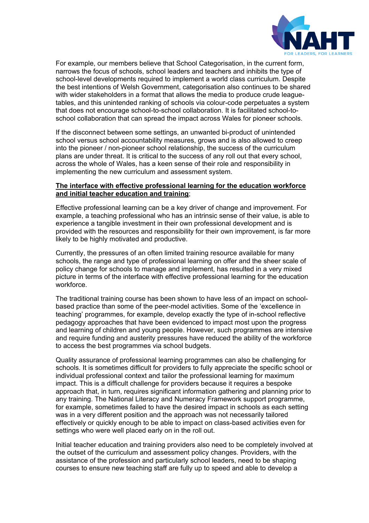

For example, our members believe that School Categorisation, in the current form, narrows the focus of schools, school leaders and teachers and inhibits the type of school-level developments required to implement a world class curriculum. Despite the best intentions of Welsh Government, categorisation also continues to be shared with wider stakeholders in a format that allows the media to produce crude leaguetables, and this unintended ranking of schools via colour-code perpetuates a system that does not encourage school-to-school collaboration. It is facilitated school-toschool collaboration that can spread the impact across Wales for pioneer schools.

If the disconnect between some settings, an unwanted bi-product of unintended school versus school accountability measures, grows and is also allowed to creep into the pioneer / non-pioneer school relationship, the success of the curriculum plans are under threat. It is critical to the success of any roll out that every school, across the whole of Wales, has a keen sense of their role and responsibility in implementing the new curriculum and assessment system.

## **The interface with effective professional learning for the education workforce and initial teacher education and training**;

Effective professional learning can be a key driver of change and improvement. For example, a teaching professional who has an intrinsic sense of their value, is able to experience a tangible investment in their own professional development and is provided with the resources and responsibility for their own improvement, is far more likely to be highly motivated and productive.

Currently, the pressures of an often limited training resource available for many schools, the range and type of professional learning on offer and the sheer scale of policy change for schools to manage and implement, has resulted in a very mixed picture in terms of the interface with effective professional learning for the education workforce.

The traditional training course has been shown to have less of an impact on schoolbased practice than some of the peer-model activities. Some of the 'excellence in teaching' programmes, for example, develop exactly the type of in-school reflective pedagogy approaches that have been evidenced to impact most upon the progress and learning of children and young people. However, such programmes are intensive and require funding and austerity pressures have reduced the ability of the workforce to access the best programmes via school budgets.

Quality assurance of professional learning programmes can also be challenging for schools. It is sometimes difficult for providers to fully appreciate the specific school or individual professional context and tailor the professional learning for maximum impact. This is a difficult challenge for providers because it requires a bespoke approach that, in turn, requires significant information gathering and planning prior to any training. The National Literacy and Numeracy Framework support programme, for example, sometimes failed to have the desired impact in schools as each setting was in a very different position and the approach was not necessarily tailored effectively or quickly enough to be able to impact on class-based activities even for settings who were well placed early on in the roll out.

Initial teacher education and training providers also need to be completely involved at the outset of the curriculum and assessment policy changes. Providers, with the assistance of the profession and particularly school leaders, need to be shaping courses to ensure new teaching staff are fully up to speed and able to develop a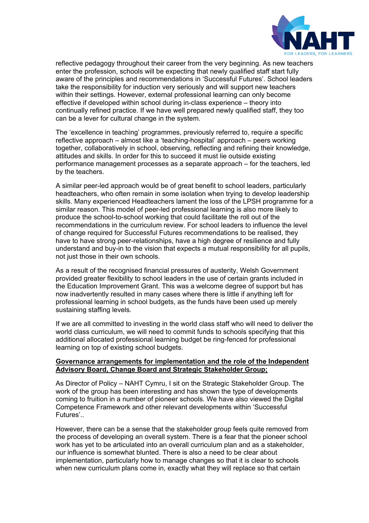

reflective pedagogy throughout their career from the very beginning. As new teachers enter the profession, schools will be expecting that newly qualified staff start fully aware of the principles and recommendations in 'Successful Futures'. School leaders take the responsibility for induction very seriously and will support new teachers within their settings. However, external professional learning can only become effective if developed within school during in-class experience – theory into continually refined practice. If we have well prepared newly qualified staff, they too can be a lever for cultural change in the system.

The 'excellence in teaching' programmes, previously referred to, require a specific reflective approach – almost like a 'teaching-hospital' approach – peers working together, collaboratively in school, observing, reflecting and refining their knowledge, attitudes and skills. In order for this to succeed it must lie outside existing performance management processes as a separate approach – for the teachers, led by the teachers.

A similar peer-led approach would be of great benefit to school leaders, particularly headteachers, who often remain in some isolation when trying to develop leadership skills. Many experienced Headteachers lament the loss of the LPSH programme for a similar reason. This model of peer-led professional learning is also more likely to produce the school-to-school working that could facilitate the roll out of the recommendations in the curriculum review. For school leaders to influence the level of change required for Successful Futures recommendations to be realised, they have to have strong peer-relationships, have a high degree of resilience and fully understand and buy-in to the vision that expects a mutual responsibility for all pupils, not just those in their own schools.

As a result of the recognised financial pressures of austerity, Welsh Government provided greater flexibility to school leaders in the use of certain grants included in the Education Improvement Grant. This was a welcome degree of support but has now inadvertently resulted in many cases where there is little if anything left for professional learning in school budgets, as the funds have been used up merely sustaining staffing levels.

If we are all committed to investing in the world class staff who will need to deliver the world class curriculum, we will need to commit funds to schools specifying that this additional allocated professional learning budget be ring-fenced for professional learning on top of existing school budgets.

## **Governance arrangements for implementation and the role of the Independent Advisory Board, Change Board and Strategic Stakeholder Group;**

As Director of Policy – NAHT Cymru, I sit on the Strategic Stakeholder Group. The work of the group has been interesting and has shown the type of developments coming to fruition in a number of pioneer schools. We have also viewed the Digital Competence Framework and other relevant developments within 'Successful Futures'..

However, there can be a sense that the stakeholder group feels quite removed from the process of developing an overall system. There is a fear that the pioneer school work has yet to be articulated into an overall curriculum plan and as a stakeholder, our influence is somewhat blunted. There is also a need to be clear about implementation, particularly how to manage changes so that it is clear to schools when new curriculum plans come in, exactly what they will replace so that certain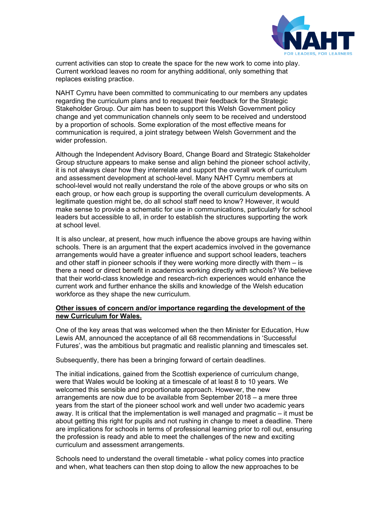

current activities can stop to create the space for the new work to come into play. Current workload leaves no room for anything additional, only something that replaces existing practice.

NAHT Cymru have been committed to communicating to our members any updates regarding the curriculum plans and to request their feedback for the Strategic Stakeholder Group. Our aim has been to support this Welsh Government policy change and yet communication channels only seem to be received and understood by a proportion of schools. Some exploration of the most effective means for communication is required, a joint strategy between Welsh Government and the wider profession.

Although the Independent Advisory Board, Change Board and Strategic Stakeholder Group structure appears to make sense and align behind the pioneer school activity, it is not always clear how they interrelate and support the overall work of curriculum and assessment development at school-level. Many NAHT Cymru members at school-level would not really understand the role of the above groups or who sits on each group, or how each group is supporting the overall curriculum developments. A legitimate question might be, do all school staff need to know? However, it would make sense to provide a schematic for use in communications, particularly for school leaders but accessible to all, in order to establish the structures supporting the work at school level.

It is also unclear, at present, how much influence the above groups are having within schools. There is an argument that the expert academics involved in the governance arrangements would have a greater influence and support school leaders, teachers and other staff in pioneer schools if they were working more directly with them – is there a need or direct benefit in academics working directly with schools? We believe that their world-class knowledge and research-rich experiences would enhance the current work and further enhance the skills and knowledge of the Welsh education workforce as they shape the new curriculum.

## **Other issues of concern and/or importance regarding the development of the new Curriculum for Wales.**

One of the key areas that was welcomed when the then Minister for Education, Huw Lewis AM, announced the acceptance of all 68 recommendations in 'Successful Futures', was the ambitious but pragmatic and realistic planning and timescales set.

Subsequently, there has been a bringing forward of certain deadlines.

The initial indications, gained from the Scottish experience of curriculum change, were that Wales would be looking at a timescale of at least 8 to 10 years. We welcomed this sensible and proportionate approach. However, the new arrangements are now due to be available from September 2018 – a mere three years from the start of the pioneer school work and well under two academic years away. It is critical that the implementation is well managed and pragmatic – it must be about getting this right for pupils and not rushing in change to meet a deadline. There are implications for schools in terms of professional learning prior to roll out, ensuring the profession is ready and able to meet the challenges of the new and exciting curriculum and assessment arrangements.

Schools need to understand the overall timetable - what policy comes into practice and when, what teachers can then stop doing to allow the new approaches to be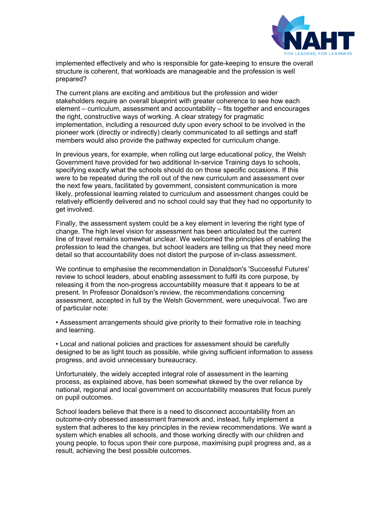

implemented effectively and who is responsible for gate-keeping to ensure the overall structure is coherent, that workloads are manageable and the profession is well prepared?

The current plans are exciting and ambitious but the profession and wider stakeholders require an overall blueprint with greater coherence to see how each element – curriculum, assessment and accountability – fits together and encourages the right, constructive ways of working. A clear strategy for pragmatic implementation, including a resourced duty upon every school to be involved in the pioneer work (directly or indirectly) clearly communicated to all settings and staff members would also provide the pathway expected for curriculum change.

In previous years, for example, when rolling out large educational policy, the Welsh Government have provided for two additional In-service Training days to schools, specifying exactly what the schools should do on those specific occasions. If this were to be repeated during the roll out of the new curriculum and assessment over the next few years, facilitated by government, consistent communication is more likely, professional learning related to curriculum and assessment changes could be relatively efficiently delivered and no school could say that they had no opportunity to get involved.

Finally, the assessment system could be a key element in levering the right type of change. The high level vision for assessment has been articulated but the current line of travel remains somewhat unclear. We welcomed the principles of enabling the profession to lead the changes, but school leaders are telling us that they need more detail so that accountability does not distort the purpose of in-class assessment.

We continue to emphasise the recommendation in Donaldson's 'Successful Futures' review to school leaders, about enabling assessment to fulfil its core purpose, by releasing it from the non-progress accountability measure that it appears to be at present. In Professor Donaldson's review, the recommendations concerning assessment, accepted in full by the Welsh Government, were unequivocal. Two are of particular note:

• Assessment arrangements should give priority to their formative role in teaching and learning.

• Local and national policies and practices for assessment should be carefully designed to be as light touch as possible, while giving sufficient information to assess progress, and avoid unnecessary bureaucracy.

Unfortunately, the widely accepted integral role of assessment in the learning process, as explained above, has been somewhat skewed by the over reliance by national, regional and local government on accountability measures that focus purely on pupil outcomes.

School leaders believe that there is a need to disconnect accountability from an outcome-only obsessed assessment framework and, instead, fully implement a system that adheres to the key principles in the review recommendations. We want a system which enables all schools, and those working directly with our children and young people, to focus upon their core purpose, maximising pupil progress and, as a result, achieving the best possible outcomes.